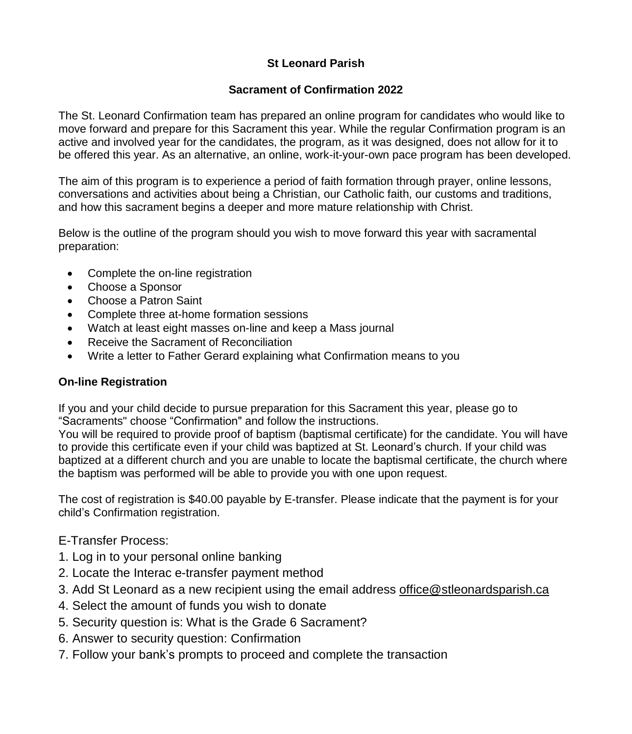# **St Leonard Parish**

### **Sacrament of Confirmation 2022**

The St. Leonard Confirmation team has prepared an online program for candidates who would like to move forward and prepare for this Sacrament this year. While the regular Confirmation program is an active and involved year for the candidates, the program, as it was designed, does not allow for it to be offered this year. As an alternative, an online, work-it-your-own pace program has been developed.

The aim of this program is to experience a period of faith formation through prayer, online lessons, conversations and activities about being a Christian, our Catholic faith, our customs and traditions, and how this sacrament begins a deeper and more mature relationship with Christ.

Below is the outline of the program should you wish to move forward this year with sacramental preparation:

- Complete the on-line registration
- Choose a Sponsor
- Choose a Patron Saint
- Complete three at-home formation sessions
- Watch at least eight masses on-line and keep a Mass journal
- Receive the Sacrament of Reconciliation
- Write a letter to Father Gerard explaining what Confirmation means to you

### **On-line Registration**

If you and your child decide to pursue preparation for this Sacrament this year, please go to "Sacraments" choose "Confirmation" and follow the instructions.

You will be required to provide proof of baptism (baptismal certificate) for the candidate. You will have to provide this certificate even if your child was baptized at St. Leonard's church. If your child was baptized at a different church and you are unable to locate the baptismal certificate, the church where the baptism was performed will be able to provide you with one upon request.

The cost of registration is \$40.00 payable by E-transfer. Please indicate that the payment is for your child's Confirmation registration.

# E-Transfer Process:

- 1. Log in to your personal online banking
- 2. Locate the Interac e-transfer payment method
- 3. Add St Leonard as a new recipient using the email address [office@stleonardsparish.ca](mailto:office@stleonardsparish.ca)
- 4. Select the amount of funds you wish to donate
- 5. Security question is: What is the Grade 6 Sacrament?
- 6. Answer to security question: Confirmation
- 7. Follow your bank's prompts to proceed and complete the transaction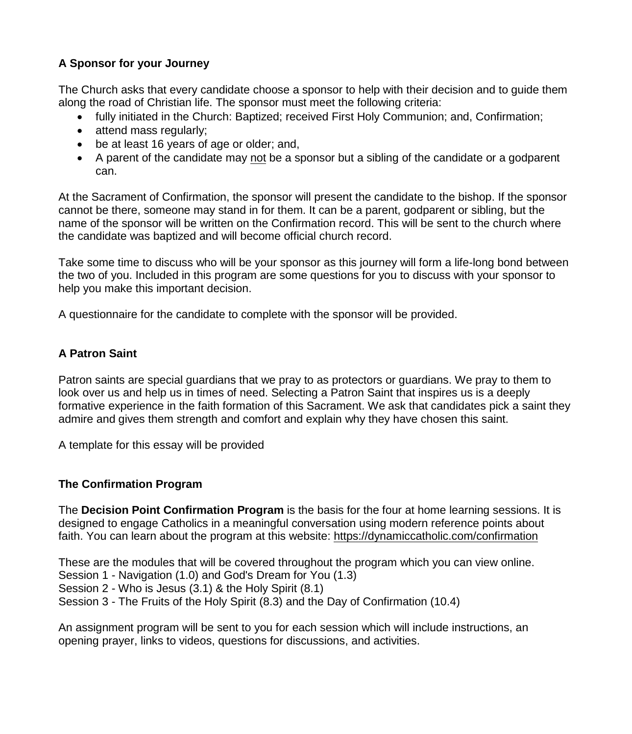## **A Sponsor for your Journey**

The Church asks that every candidate choose a sponsor to help with their decision and to guide them along the road of Christian life. The sponsor must meet the following criteria:

- fully initiated in the Church: Baptized; received First Holy Communion; and, Confirmation;
- attend mass regularly:
- be at least 16 years of age or older; and,
- A parent of the candidate may not be a sponsor but a sibling of the candidate or a godparent can.

At the Sacrament of Confirmation, the sponsor will present the candidate to the bishop. If the sponsor cannot be there, someone may stand in for them. It can be a parent, godparent or sibling, but the name of the sponsor will be written on the Confirmation record. This will be sent to the church where the candidate was baptized and will become official church record.

Take some time to discuss who will be your sponsor as this journey will form a life-long bond between the two of you. Included in this program are some questions for you to discuss with your sponsor to help you make this important decision.

A questionnaire for the candidate to complete with the sponsor will be provided.

### **A Patron Saint**

Patron saints are special guardians that we pray to as protectors or guardians. We pray to them to look over us and help us in times of need. Selecting a Patron Saint that inspires us is a deeply formative experience in the faith formation of this Sacrament. We ask that candidates pick a saint they admire and gives them strength and comfort and explain why they have chosen this saint.

A template for this essay will be provided

### **The Confirmation Program**

The **Decision Point Confirmation Program** is the basis for the four at home learning sessions. It is designed to engage Catholics in a meaningful conversation using modern reference points about faith. You can learn about the program at this website: <https://dynamiccatholic.com/confirmation>

These are the modules that will be covered throughout the program which you can view online. Session 1 - Navigation (1.0) and God's Dream for You (1.3) Session 2 - Who is Jesus (3.1) & the Holy Spirit (8.1)

Session 3 - The Fruits of the Holy Spirit (8.3) and the Day of Confirmation (10.4)

An assignment program will be sent to you for each session which will include instructions, an opening prayer, links to videos, questions for discussions, and activities.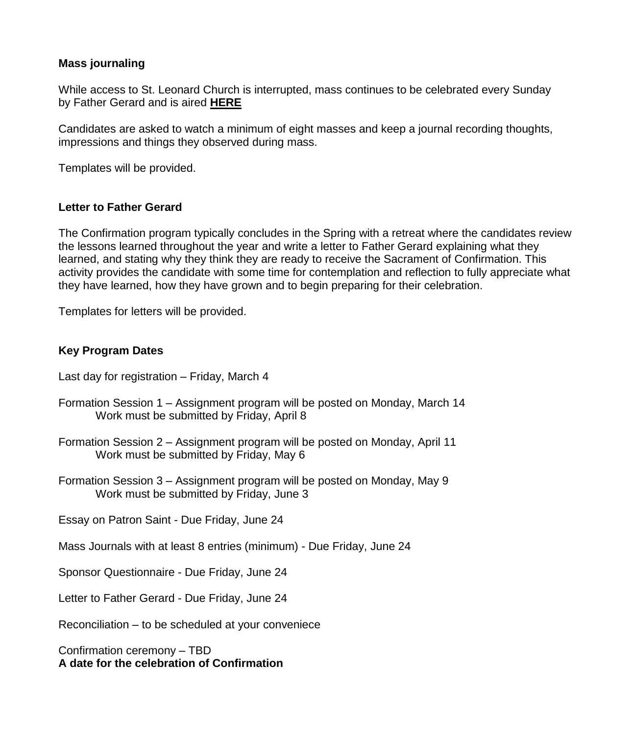#### **Mass journaling**

While access to St. Leonard Church is interrupted, mass continues to be celebrated every Sunday by Father Gerard and is aired **[HERE](https://www.youtube.com/watch?v=29VJf0qtC-Q)**

Candidates are asked to watch a minimum of eight masses and keep a journal recording thoughts, impressions and things they observed during mass.

Templates will be provided.

#### **Letter to Father Gerard**

The Confirmation program typically concludes in the Spring with a retreat where the candidates review the lessons learned throughout the year and write a letter to Father Gerard explaining what they learned, and stating why they think they are ready to receive the Sacrament of Confirmation. This activity provides the candidate with some time for contemplation and reflection to fully appreciate what they have learned, how they have grown and to begin preparing for their celebration.

Templates for letters will be provided.

#### **Key Program Dates**

- Last day for registration Friday, March 4
- Formation Session 1 Assignment program will be posted on Monday, March 14 Work must be submitted by Friday, April 8
- Formation Session 2 Assignment program will be posted on Monday, April 11 Work must be submitted by Friday, May 6
- Formation Session 3 Assignment program will be posted on Monday, May 9 Work must be submitted by Friday, June 3

Essay on Patron Saint - Due Friday, June 24

Mass Journals with at least 8 entries (minimum) - Due Friday, June 24

Sponsor Questionnaire - Due Friday, June 24

Letter to Father Gerard - Due Friday, June 24

Reconciliation – to be scheduled at your conveniece

Confirmation ceremony – TBD **A date for the celebration of Confirmation**